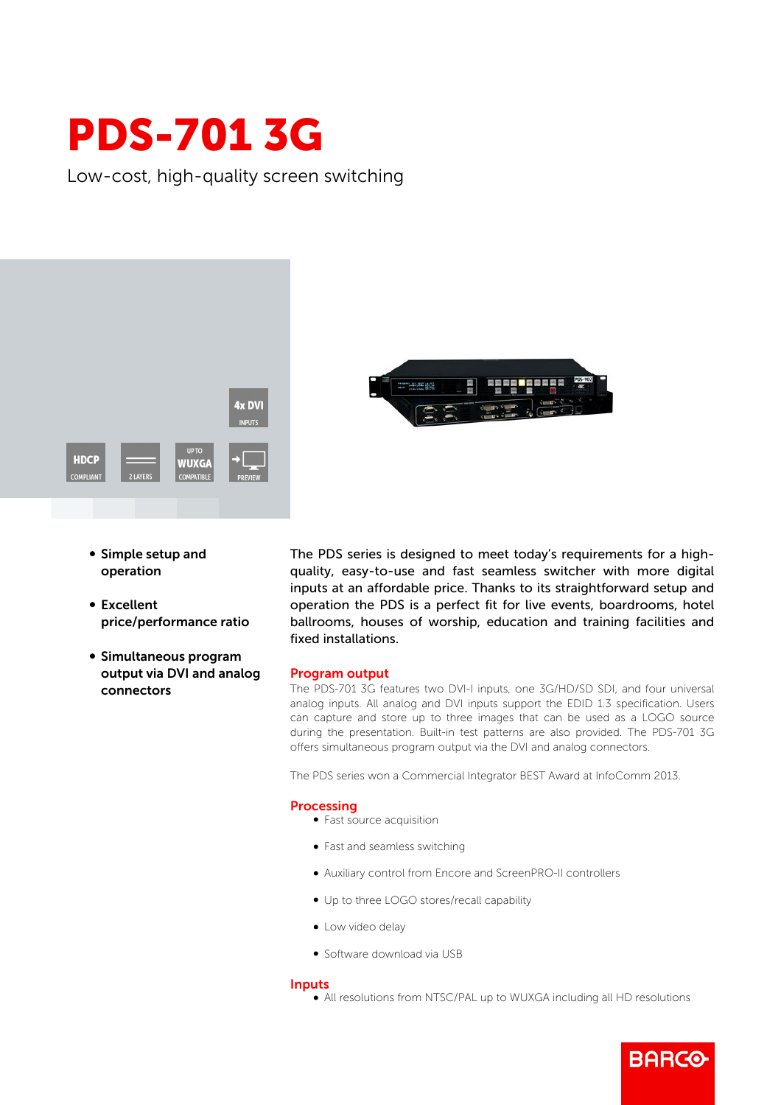# PDS-701 3G

Low-cost, high-quality screen switching



- Simple setup and operation
- Excellent price/performance ratio
- **Simultaneous program** output via DVI and analog connectors

The PDS series is designed to meet today's requirements for a highquality, easy-to-use and fast seamless switcher with more digital inputs at an affordable price. Thanks to its straightforward setup and operation the PDS is a perfect fit for live events, boardrooms, hotel ballrooms, houses of worship, education and training facilities and fixed installations.

### Program output

The PDS-701 3G features two DVI-I inputs, one 3G/HD/SD SDI, and four universal analog inputs. All analog and DVI inputs support the EDID 1.3 specification. Users can capture and store up to three images that can be used as a LOGO source during the presentation. Built-in test patterns are also provided. The PDS-701 3G offers simultaneous program output via the DVI and analog connectors.

The PDS series won a Commercial Integrator BEST Award at InfoComm 2013.

#### Processing

- Fast source acquisition
- Fast and seamless switching
- b Auxiliary control from Encore and ScreenPRO-II controllers
- Up to three LOGO stores/recall capability
- Low video delay
- Software download via USB

#### Inputs

b All resolutions from NTSC/PAL up to WUXGA including all HD resolutions

**BARGO**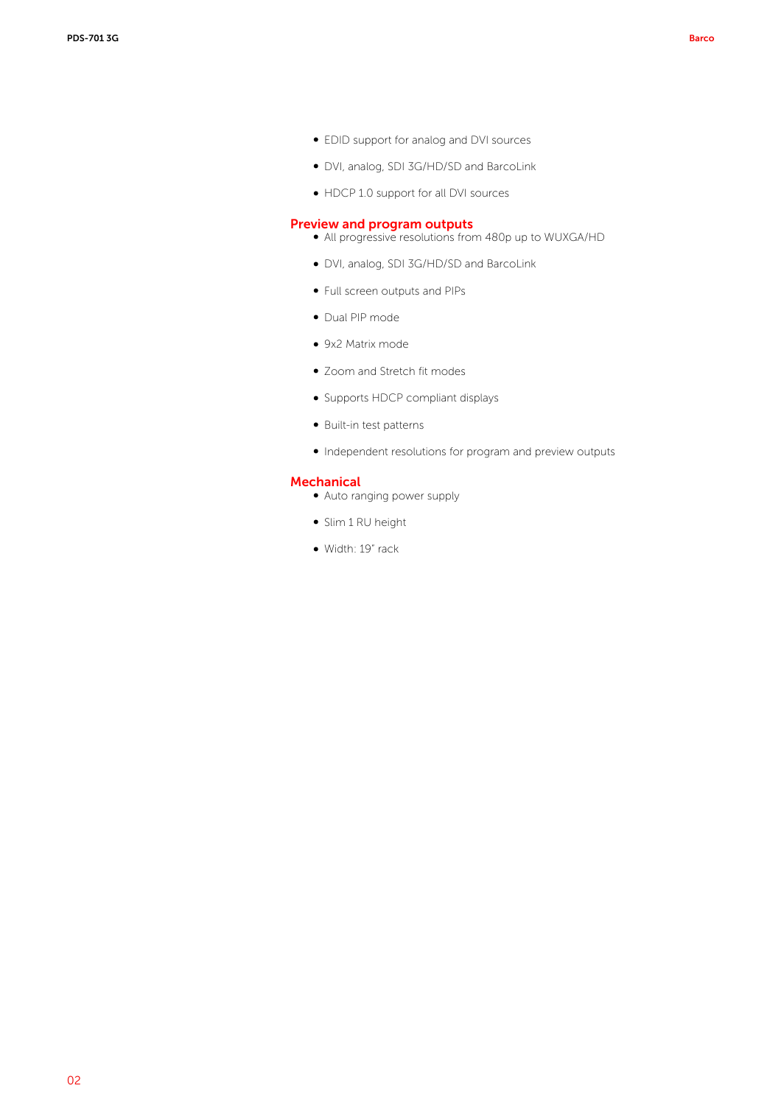- b EDID support for analog and DVI sources
- DVI, analog, SDI 3G/HD/SD and BarcoLink
- HDCP 1.0 support for all DVI sources

## Preview and program outputs

- All progressive resolutions from 480p up to WUXGA/HD
- b DVI, analog, SDI 3G/HD/SD and BarcoLink
- Full screen outputs and PIPs
- · Dual PIP mode
- 9x2 Matrix mode
- Zoom and Stretch fit modes
- Supports HDCP compliant displays
- $\bullet$  Built-in test patterns
- Independent resolutions for program and preview outputs

## **Mechanical**

- Auto ranging power supply
- Slim 1 RU height
- Width: 19" rack